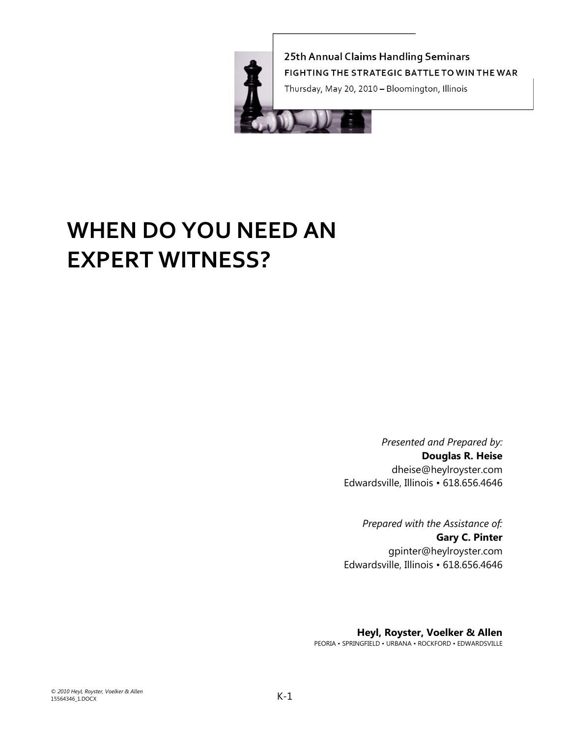

25th Annual Claims Handling Seminars FIGHTING THE STRATEGIC BATTLE TO WIN THE WAR

Thursday, May 20, 2010 - Bloomington, Illinois



# **WHEN DO YOU NEED AN EXPERT WITNESS?**

*Presented and Prepared by:* **Douglas R. Heise**  dheise@heylroyster.com Edwardsville, Illinois • 618.656.4646

*Prepared with the Assistance of:*  **Gary C. Pinter**  gpinter@heylroyster.com Edwardsville, Illinois • 618.656.4646

**Heyl, Royster, Voelker & Allen**  PEORIA • SPRINGFIELD • URBANA • ROCKFORD • EDWARDSVILLE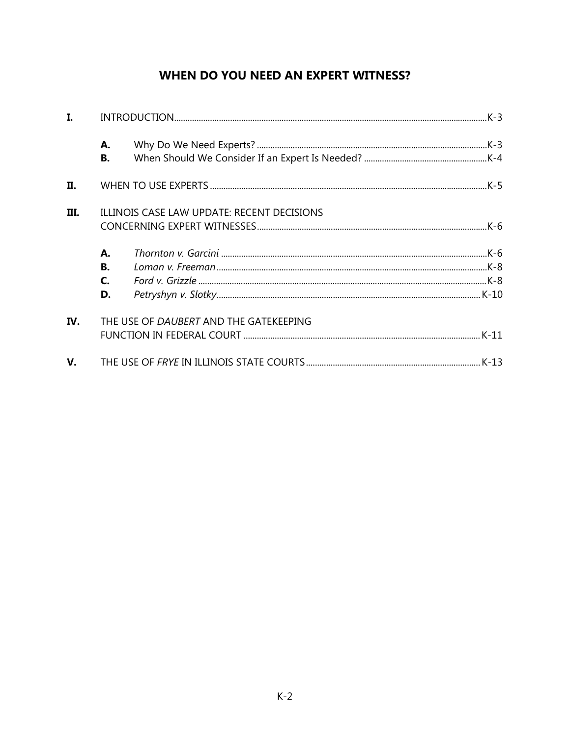# WHEN DO YOU NEED AN EXPERT WITNESS?

| I.          |                                            |                                        |  |  |
|-------------|--------------------------------------------|----------------------------------------|--|--|
|             | А.<br>В.                                   |                                        |  |  |
| Π.          |                                            |                                        |  |  |
| III.        | ILLINOIS CASE LAW UPDATE: RECENT DECISIONS |                                        |  |  |
|             | А.<br>В.<br>$\mathsf{C}$<br>D.             |                                        |  |  |
| IV.         |                                            | THE USE OF DAUBERT AND THE GATEKEEPING |  |  |
| $V_{\rm r}$ |                                            |                                        |  |  |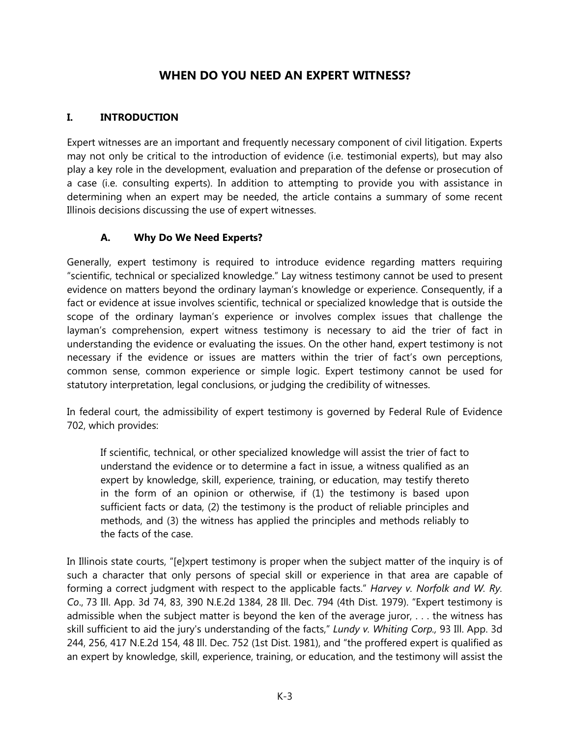## **WHEN DO YOU NEED AN EXPERT WITNESS?**

#### **I. INTRODUCTION**

Expert witnesses are an important and frequently necessary component of civil litigation. Experts may not only be critical to the introduction of evidence (i.e. testimonial experts), but may also play a key role in the development, evaluation and preparation of the defense or prosecution of a case (i.e. consulting experts). In addition to attempting to provide you with assistance in determining when an expert may be needed, the article contains a summary of some recent Illinois decisions discussing the use of expert witnesses.

#### **A. Why Do We Need Experts?**

Generally, expert testimony is required to introduce evidence regarding matters requiring "scientific, technical or specialized knowledge." Lay witness testimony cannot be used to present evidence on matters beyond the ordinary layman's knowledge or experience. Consequently, if a fact or evidence at issue involves scientific, technical or specialized knowledge that is outside the scope of the ordinary layman's experience or involves complex issues that challenge the layman's comprehension, expert witness testimony is necessary to aid the trier of fact in understanding the evidence or evaluating the issues. On the other hand, expert testimony is not necessary if the evidence or issues are matters within the trier of fact's own perceptions, common sense, common experience or simple logic. Expert testimony cannot be used for statutory interpretation, legal conclusions, or judging the credibility of witnesses.

In federal court, the admissibility of expert testimony is governed by Federal Rule of Evidence 702, which provides:

If scientific, technical, or other specialized knowledge will assist the trier of fact to understand the evidence or to determine a fact in issue, a witness qualified as an expert by knowledge, skill, experience, training, or education, may testify thereto in the form of an opinion or otherwise, if (1) the testimony is based upon sufficient facts or data, (2) the testimony is the product of reliable principles and methods, and (3) the witness has applied the principles and methods reliably to the facts of the case.

In Illinois state courts, "[e]xpert testimony is proper when the subject matter of the inquiry is of such a character that only persons of special skill or experience in that area are capable of forming a correct judgment with respect to the applicable facts." *Harvey v. Norfolk and W. Ry. Co*., 73 Ill. App. 3d 74, 83, 390 N.E.2d 1384, 28 Ill. Dec. 794 (4th Dist. 1979). "Expert testimony is admissible when the subject matter is beyond the ken of the average juror, . . . the witness has skill sufficient to aid the jury's understanding of the facts," *Lundy v. Whiting Corp.,* 93 Ill. App. 3d 244, 256, 417 N.E.2d 154, 48 Ill. Dec. 752 (1st Dist. 1981), and "the proffered expert is qualified as an expert by knowledge, skill, experience, training, or education, and the testimony will assist the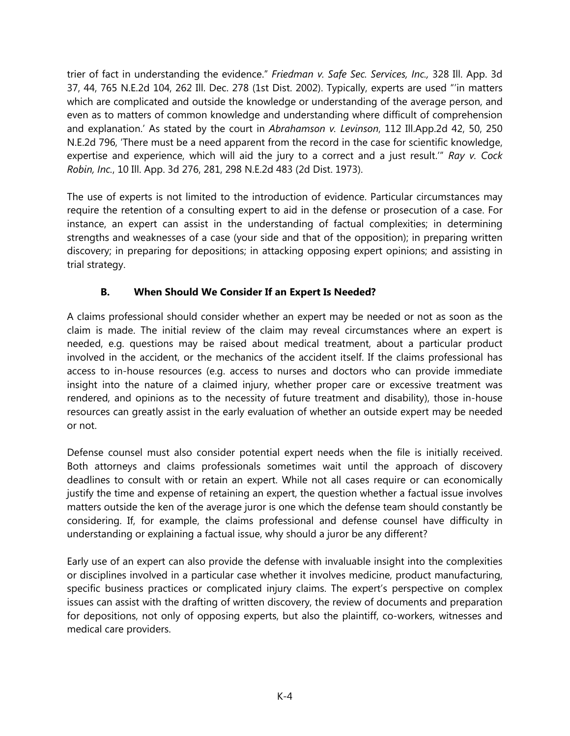trier of fact in understanding the evidence." *Friedman v. Safe Sec. Services, Inc.,* 328 Ill. App. 3d 37, 44, 765 N.E.2d 104, 262 Ill. Dec. 278 (1st Dist. 2002). Typically, experts are used "'in matters which are complicated and outside the knowledge or understanding of the average person, and even as to matters of common knowledge and understanding where difficult of comprehension and explanation.' As stated by the court in *Abrahamson v. Levinson*, 112 Ill.App.2d 42, 50, 250 N.E.2d 796, 'There must be a need apparent from the record in the case for scientific knowledge, expertise and experience, which will aid the jury to a correct and a just result.'" *Ray v. Cock Robin, Inc.*, 10 Ill. App. 3d 276, 281, 298 N.E.2d 483 (2d Dist. 1973).

The use of experts is not limited to the introduction of evidence. Particular circumstances may require the retention of a consulting expert to aid in the defense or prosecution of a case. For instance, an expert can assist in the understanding of factual complexities; in determining strengths and weaknesses of a case (your side and that of the opposition); in preparing written discovery; in preparing for depositions; in attacking opposing expert opinions; and assisting in trial strategy.

## **B. When Should We Consider If an Expert Is Needed?**

A claims professional should consider whether an expert may be needed or not as soon as the claim is made. The initial review of the claim may reveal circumstances where an expert is needed, e.g. questions may be raised about medical treatment, about a particular product involved in the accident, or the mechanics of the accident itself. If the claims professional has access to in-house resources (e.g. access to nurses and doctors who can provide immediate insight into the nature of a claimed injury, whether proper care or excessive treatment was rendered, and opinions as to the necessity of future treatment and disability), those in-house resources can greatly assist in the early evaluation of whether an outside expert may be needed or not.

Defense counsel must also consider potential expert needs when the file is initially received. Both attorneys and claims professionals sometimes wait until the approach of discovery deadlines to consult with or retain an expert. While not all cases require or can economically justify the time and expense of retaining an expert, the question whether a factual issue involves matters outside the ken of the average juror is one which the defense team should constantly be considering. If, for example, the claims professional and defense counsel have difficulty in understanding or explaining a factual issue, why should a juror be any different?

Early use of an expert can also provide the defense with invaluable insight into the complexities or disciplines involved in a particular case whether it involves medicine, product manufacturing, specific business practices or complicated injury claims. The expert's perspective on complex issues can assist with the drafting of written discovery, the review of documents and preparation for depositions, not only of opposing experts, but also the plaintiff, co-workers, witnesses and medical care providers.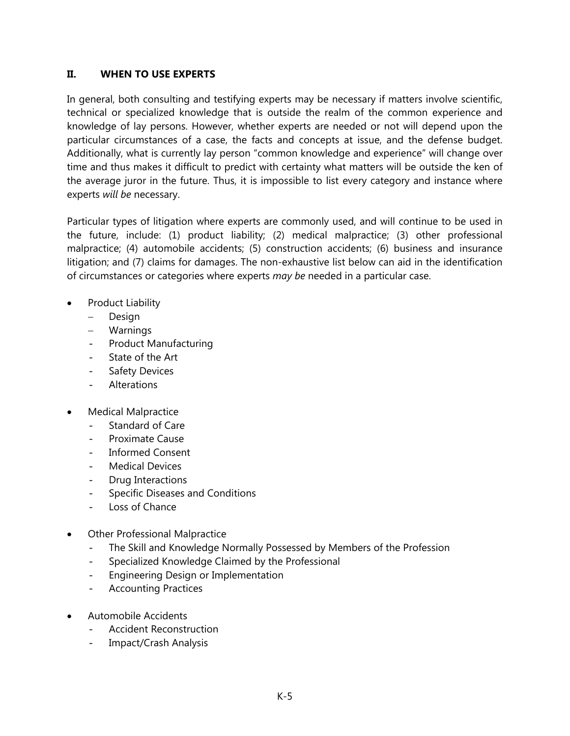#### **II. WHEN TO USE EXPERTS**

In general, both consulting and testifying experts may be necessary if matters involve scientific, technical or specialized knowledge that is outside the realm of the common experience and knowledge of lay persons. However, whether experts are needed or not will depend upon the particular circumstances of a case, the facts and concepts at issue, and the defense budget. Additionally, what is currently lay person "common knowledge and experience" will change over time and thus makes it difficult to predict with certainty what matters will be outside the ken of the average juror in the future. Thus, it is impossible to list every category and instance where experts *will be* necessary.

Particular types of litigation where experts are commonly used, and will continue to be used in the future, include: (1) product liability; (2) medical malpractice; (3) other professional malpractice; (4) automobile accidents; (5) construction accidents; (6) business and insurance litigation; and (7) claims for damages. The non-exhaustive list below can aid in the identification of circumstances or categories where experts *may be* needed in a particular case.

- Product Liability
	- Design
	- Warnings
	- Product Manufacturing
	- State of the Art
	- Safety Devices
	- Alterations
- Medical Malpractice
	- Standard of Care
	- Proximate Cause
	- Informed Consent
	- Medical Devices
	- Drug Interactions
	- Specific Diseases and Conditions
	- Loss of Chance
- Other Professional Malpractice
	- The Skill and Knowledge Normally Possessed by Members of the Profession
	- Specialized Knowledge Claimed by the Professional
	- Engineering Design or Implementation
	- Accounting Practices
- Automobile Accidents
	- Accident Reconstruction
	- Impact/Crash Analysis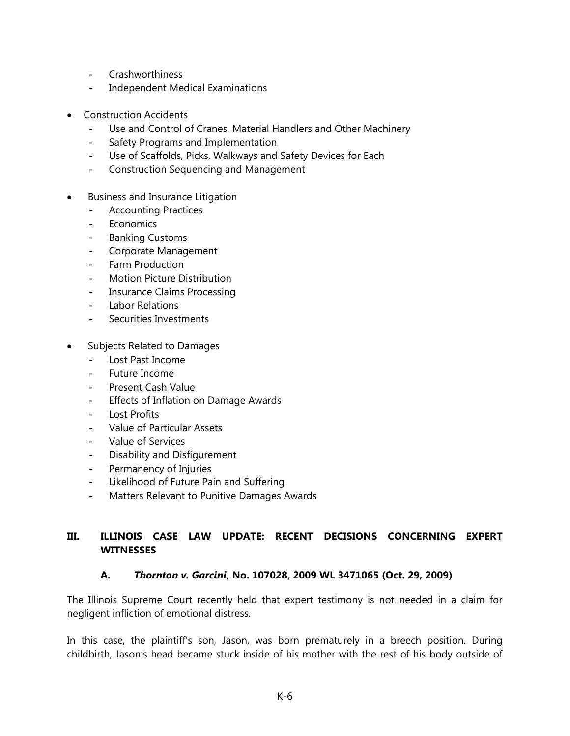- Crashworthiness
- Independent Medical Examinations
- Construction Accidents
	- Use and Control of Cranes, Material Handlers and Other Machinery
	- Safety Programs and Implementation
	- Use of Scaffolds, Picks, Walkways and Safety Devices for Each
	- Construction Sequencing and Management
- **•** Business and Insurance Litigation
	- Accounting Practices
	- Economics
	- Banking Customs
	- Corporate Management
	- Farm Production
	- Motion Picture Distribution
	- Insurance Claims Processing
	- Labor Relations
	- Securities Investments
- Subjects Related to Damages
	- Lost Past Income
	- Future Income
	- Present Cash Value
	- Effects of Inflation on Damage Awards
	- Lost Profits
	- Value of Particular Assets
	- Value of Services
	- Disability and Disfigurement
	- Permanency of Injuries
	- Likelihood of Future Pain and Suffering
	- Matters Relevant to Punitive Damages Awards

## **III. ILLINOIS CASE LAW UPDATE: RECENT DECISIONS CONCERNING EXPERT WITNESSES**

## **A.** *Thornton v. Garcini***, No. 107028, 2009 WL 3471065 (Oct. 29, 2009)**

The Illinois Supreme Court recently held that expert testimony is not needed in a claim for negligent infliction of emotional distress.

In this case, the plaintiff's son, Jason, was born prematurely in a breech position. During childbirth, Jason's head became stuck inside of his mother with the rest of his body outside of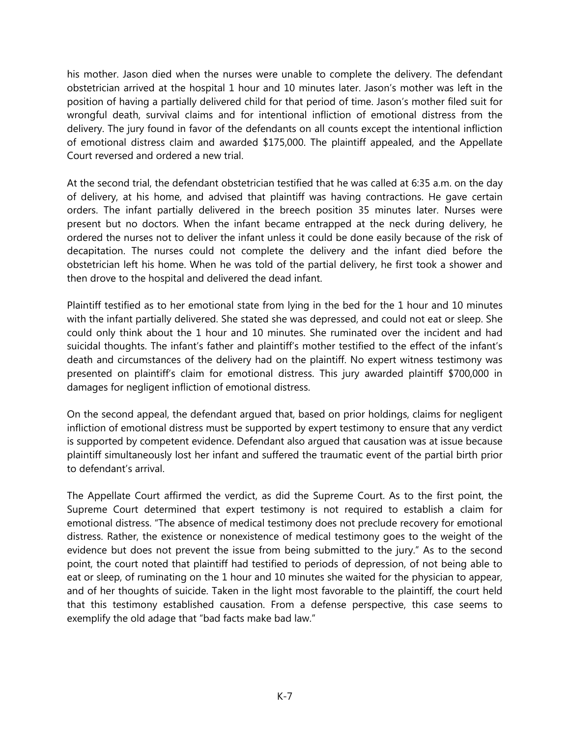his mother. Jason died when the nurses were unable to complete the delivery. The defendant obstetrician arrived at the hospital 1 hour and 10 minutes later. Jason's mother was left in the position of having a partially delivered child for that period of time. Jason's mother filed suit for wrongful death, survival claims and for intentional infliction of emotional distress from the delivery. The jury found in favor of the defendants on all counts except the intentional infliction of emotional distress claim and awarded \$175,000. The plaintiff appealed, and the Appellate Court reversed and ordered a new trial.

At the second trial, the defendant obstetrician testified that he was called at 6:35 a.m. on the day of delivery, at his home, and advised that plaintiff was having contractions. He gave certain orders. The infant partially delivered in the breech position 35 minutes later. Nurses were present but no doctors. When the infant became entrapped at the neck during delivery, he ordered the nurses not to deliver the infant unless it could be done easily because of the risk of decapitation. The nurses could not complete the delivery and the infant died before the obstetrician left his home. When he was told of the partial delivery, he first took a shower and then drove to the hospital and delivered the dead infant.

Plaintiff testified as to her emotional state from lying in the bed for the 1 hour and 10 minutes with the infant partially delivered. She stated she was depressed, and could not eat or sleep. She could only think about the 1 hour and 10 minutes. She ruminated over the incident and had suicidal thoughts. The infant's father and plaintiff's mother testified to the effect of the infant's death and circumstances of the delivery had on the plaintiff. No expert witness testimony was presented on plaintiff's claim for emotional distress. This jury awarded plaintiff \$700,000 in damages for negligent infliction of emotional distress.

On the second appeal, the defendant argued that, based on prior holdings, claims for negligent infliction of emotional distress must be supported by expert testimony to ensure that any verdict is supported by competent evidence. Defendant also argued that causation was at issue because plaintiff simultaneously lost her infant and suffered the traumatic event of the partial birth prior to defendant's arrival.

The Appellate Court affirmed the verdict, as did the Supreme Court. As to the first point, the Supreme Court determined that expert testimony is not required to establish a claim for emotional distress. "The absence of medical testimony does not preclude recovery for emotional distress. Rather, the existence or nonexistence of medical testimony goes to the weight of the evidence but does not prevent the issue from being submitted to the jury." As to the second point, the court noted that plaintiff had testified to periods of depression, of not being able to eat or sleep, of ruminating on the 1 hour and 10 minutes she waited for the physician to appear, and of her thoughts of suicide. Taken in the light most favorable to the plaintiff, the court held that this testimony established causation. From a defense perspective, this case seems to exemplify the old adage that "bad facts make bad law."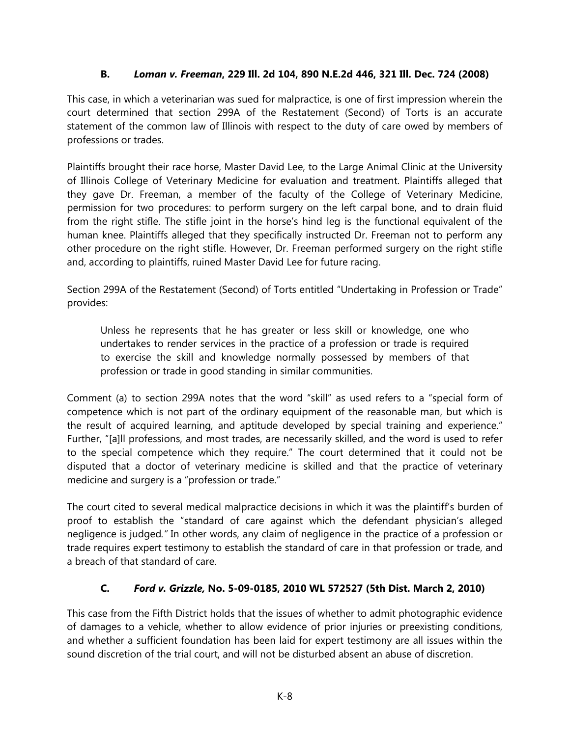## **B.** *Loman v. Freeman***, 229 Ill. 2d 104, 890 N.E.2d 446, 321 Ill. Dec. 724 (2008)**

This case, in which a veterinarian was sued for malpractice, is one of first impression wherein the court determined that section 299A of the Restatement (Second) of Torts is an accurate statement of the common law of Illinois with respect to the duty of care owed by members of professions or trades.

Plaintiffs brought their race horse, Master David Lee, to the Large Animal Clinic at the University of Illinois College of Veterinary Medicine for evaluation and treatment. Plaintiffs alleged that they gave Dr. Freeman, a member of the faculty of the College of Veterinary Medicine, permission for two procedures: to perform surgery on the left carpal bone, and to drain fluid from the right stifle. The stifle joint in the horse's hind leg is the functional equivalent of the human knee. Plaintiffs alleged that they specifically instructed Dr. Freeman not to perform any other procedure on the right stifle. However, Dr. Freeman performed surgery on the right stifle and, according to plaintiffs, ruined Master David Lee for future racing.

Section 299A of the Restatement (Second) of Torts entitled "Undertaking in Profession or Trade" provides:

Unless he represents that he has greater or less skill or knowledge, one who undertakes to render services in the practice of a profession or trade is required to exercise the skill and knowledge normally possessed by members of that profession or trade in good standing in similar communities.

Comment (a) to section 299A notes that the word "skill" as used refers to a "special form of competence which is not part of the ordinary equipment of the reasonable man, but which is the result of acquired learning, and aptitude developed by special training and experience." Further, "[a]ll professions, and most trades, are necessarily skilled, and the word is used to refer to the special competence which they require." The court determined that it could not be disputed that a doctor of veterinary medicine is skilled and that the practice of veterinary medicine and surgery is a "profession or trade."

The court cited to several medical malpractice decisions in which it was the plaintiff's burden of proof to establish the "standard of care against which the defendant physician's alleged negligence is judged*."* In other words, any claim of negligence in the practice of a profession or trade requires expert testimony to establish the standard of care in that profession or trade, and a breach of that standard of care.

## **C.** *Ford v. Grizzle,* **No. 5-09-0185, 2010 WL 572527 (5th Dist. March 2, 2010)**

This case from the Fifth District holds that the issues of whether to admit photographic evidence of damages to a vehicle, whether to allow evidence of prior injuries or preexisting conditions, and whether a sufficient foundation has been laid for expert testimony are all issues within the sound discretion of the trial court, and will not be disturbed absent an abuse of discretion.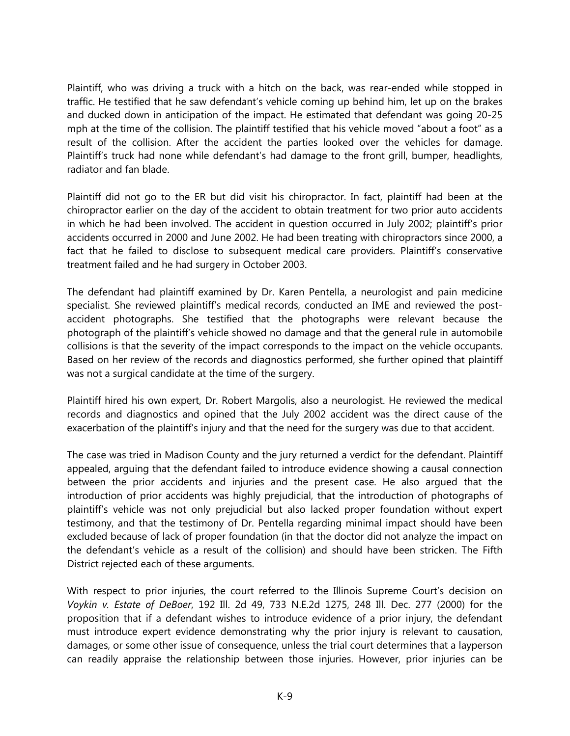Plaintiff, who was driving a truck with a hitch on the back, was rear-ended while stopped in traffic. He testified that he saw defendant's vehicle coming up behind him, let up on the brakes and ducked down in anticipation of the impact. He estimated that defendant was going 20-25 mph at the time of the collision. The plaintiff testified that his vehicle moved "about a foot" as a result of the collision. After the accident the parties looked over the vehicles for damage. Plaintiff's truck had none while defendant's had damage to the front grill, bumper, headlights, radiator and fan blade.

Plaintiff did not go to the ER but did visit his chiropractor. In fact, plaintiff had been at the chiropractor earlier on the day of the accident to obtain treatment for two prior auto accidents in which he had been involved. The accident in question occurred in July 2002; plaintiff's prior accidents occurred in 2000 and June 2002. He had been treating with chiropractors since 2000, a fact that he failed to disclose to subsequent medical care providers. Plaintiff's conservative treatment failed and he had surgery in October 2003.

The defendant had plaintiff examined by Dr. Karen Pentella, a neurologist and pain medicine specialist. She reviewed plaintiff's medical records, conducted an IME and reviewed the postaccident photographs. She testified that the photographs were relevant because the photograph of the plaintiff's vehicle showed no damage and that the general rule in automobile collisions is that the severity of the impact corresponds to the impact on the vehicle occupants. Based on her review of the records and diagnostics performed, she further opined that plaintiff was not a surgical candidate at the time of the surgery.

Plaintiff hired his own expert, Dr. Robert Margolis, also a neurologist. He reviewed the medical records and diagnostics and opined that the July 2002 accident was the direct cause of the exacerbation of the plaintiff's injury and that the need for the surgery was due to that accident.

The case was tried in Madison County and the jury returned a verdict for the defendant. Plaintiff appealed, arguing that the defendant failed to introduce evidence showing a causal connection between the prior accidents and injuries and the present case. He also argued that the introduction of prior accidents was highly prejudicial, that the introduction of photographs of plaintiff's vehicle was not only prejudicial but also lacked proper foundation without expert testimony, and that the testimony of Dr. Pentella regarding minimal impact should have been excluded because of lack of proper foundation (in that the doctor did not analyze the impact on the defendant's vehicle as a result of the collision) and should have been stricken. The Fifth District rejected each of these arguments.

With respect to prior injuries, the court referred to the Illinois Supreme Court's decision on *Voykin v. Estate of DeBoer*, 192 Ill. 2d 49, 733 N.E.2d 1275, 248 Ill. Dec. 277 (2000) for the proposition that if a defendant wishes to introduce evidence of a prior injury, the defendant must introduce expert evidence demonstrating why the prior injury is relevant to causation, damages, or some other issue of consequence, unless the trial court determines that a layperson can readily appraise the relationship between those injuries. However, prior injuries can be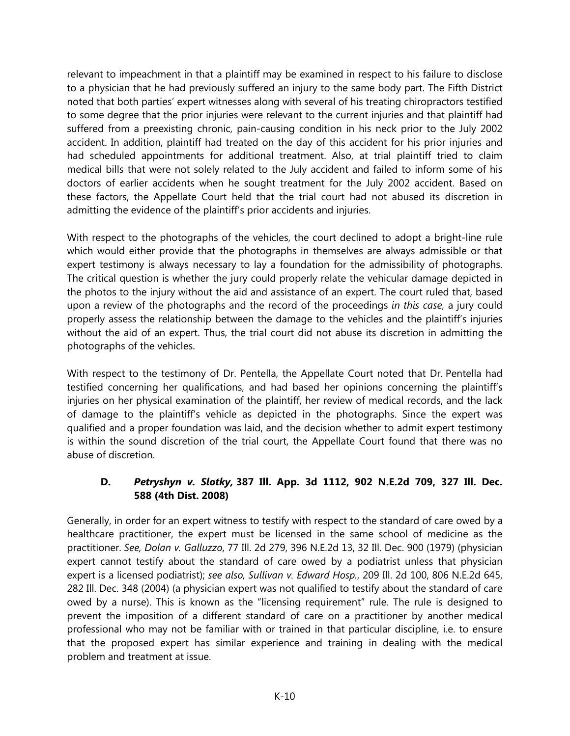relevant to impeachment in that a plaintiff may be examined in respect to his failure to disclose to a physician that he had previously suffered an injury to the same body part. The Fifth District noted that both parties' expert witnesses along with several of his treating chiropractors testified to some degree that the prior injuries were relevant to the current injuries and that plaintiff had suffered from a preexisting chronic, pain-causing condition in his neck prior to the July 2002 accident. In addition, plaintiff had treated on the day of this accident for his prior injuries and had scheduled appointments for additional treatment. Also, at trial plaintiff tried to claim medical bills that were not solely related to the July accident and failed to inform some of his doctors of earlier accidents when he sought treatment for the July 2002 accident. Based on these factors, the Appellate Court held that the trial court had not abused its discretion in admitting the evidence of the plaintiff's prior accidents and injuries.

With respect to the photographs of the vehicles, the court declined to adopt a bright-line rule which would either provide that the photographs in themselves are always admissible or that expert testimony is always necessary to lay a foundation for the admissibility of photographs. The critical question is whether the jury could properly relate the vehicular damage depicted in the photos to the injury without the aid and assistance of an expert. The court ruled that, based upon a review of the photographs and the record of the proceedings *in this case*, a jury could properly assess the relationship between the damage to the vehicles and the plaintiff's injuries without the aid of an expert. Thus, the trial court did not abuse its discretion in admitting the photographs of the vehicles.

With respect to the testimony of Dr. Pentella, the Appellate Court noted that Dr. Pentella had testified concerning her qualifications, and had based her opinions concerning the plaintiff's injuries on her physical examination of the plaintiff, her review of medical records, and the lack of damage to the plaintiff's vehicle as depicted in the photographs. Since the expert was qualified and a proper foundation was laid, and the decision whether to admit expert testimony is within the sound discretion of the trial court, the Appellate Court found that there was no abuse of discretion.

#### **D.** *Petryshyn v. Slotky,* **387 Ill. App. 3d 1112, 902 N.E.2d 709, 327 Ill. Dec. 588 (4th Dist. 2008)**

Generally, in order for an expert witness to testify with respect to the standard of care owed by a healthcare practitioner, the expert must be licensed in the same school of medicine as the practitioner. *See, Dolan v. Galluzzo*, 77 Ill. 2d 279, 396 N.E.2d 13, 32 Ill. Dec. 900 (1979) (physician expert cannot testify about the standard of care owed by a podiatrist unless that physician expert is a licensed podiatrist); *see also, Sullivan v. Edward Hosp.*, 209 Ill. 2d 100, 806 N.E.2d 645, 282 Ill. Dec. 348 (2004) (a physician expert was not qualified to testify about the standard of care owed by a nurse). This is known as the "licensing requirement" rule. The rule is designed to prevent the imposition of a different standard of care on a practitioner by another medical professional who may not be familiar with or trained in that particular discipline, i.e. to ensure that the proposed expert has similar experience and training in dealing with the medical problem and treatment at issue.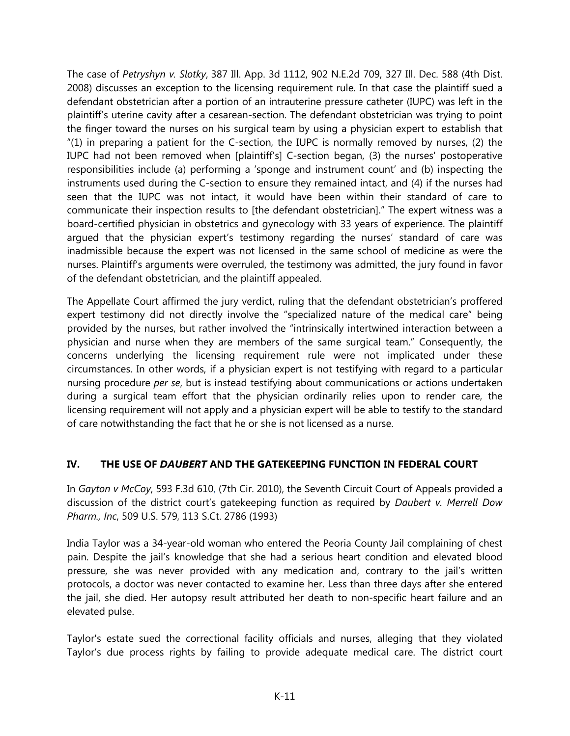The case of *Petryshyn v. Slotky*, 387 Ill. App. 3d 1112, 902 N.E.2d 709, 327 Ill. Dec. 588 (4th Dist. 2008) discusses an exception to the licensing requirement rule. In that case the plaintiff sued a defendant obstetrician after a portion of an intrauterine pressure catheter (IUPC) was left in the plaintiff's uterine cavity after a cesarean-section. The defendant obstetrician was trying to point the finger toward the nurses on his surgical team by using a physician expert to establish that  $(1)$  in preparing a patient for the C-section, the IUPC is normally removed by nurses, (2) the IUPC had not been removed when [plaintiff's] C-section began, (3) the nurses' postoperative responsibilities include (a) performing a 'sponge and instrument count' and (b) inspecting the instruments used during the C-section to ensure they remained intact, and (4) if the nurses had seen that the IUPC was not intact, it would have been within their standard of care to communicate their inspection results to [the defendant obstetrician]." The expert witness was a board-certified physician in obstetrics and gynecology with 33 years of experience. The plaintiff argued that the physician expert's testimony regarding the nurses' standard of care was inadmissible because the expert was not licensed in the same school of medicine as were the nurses. Plaintiff's arguments were overruled, the testimony was admitted, the jury found in favor of the defendant obstetrician, and the plaintiff appealed.

The Appellate Court affirmed the jury verdict, ruling that the defendant obstetrician's proffered expert testimony did not directly involve the "specialized nature of the medical care" being provided by the nurses, but rather involved the "intrinsically intertwined interaction between a physician and nurse when they are members of the same surgical team." Consequently, the concerns underlying the licensing requirement rule were not implicated under these circumstances. In other words, if a physician expert is not testifying with regard to a particular nursing procedure *per se*, but is instead testifying about communications or actions undertaken during a surgical team effort that the physician ordinarily relies upon to render care, the licensing requirement will not apply and a physician expert will be able to testify to the standard of care notwithstanding the fact that he or she is not licensed as a nurse.

## **IV. THE USE OF** *DAUBERT* **AND THE GATEKEEPING FUNCTION IN FEDERAL COURT**

In *Gayton v McCoy*, 593 F.3d 610, (7th Cir. 2010), the Seventh Circuit Court of Appeals provided a discussion of the district court's gatekeeping function as required by *Daubert v. Merrell Dow Pharm., Inc*, 509 U.S. 579, 113 S.Ct. 2786 (1993)

India Taylor was a 34-year-old woman who entered the Peoria County Jail complaining of chest pain. Despite the jail's knowledge that she had a serious heart condition and elevated blood pressure, she was never provided with any medication and, contrary to the jail's written protocols, a doctor was never contacted to examine her. Less than three days after she entered the jail, she died. Her autopsy result attributed her death to non-specific heart failure and an elevated pulse.

Taylor's estate sued the correctional facility officials and nurses, alleging that they violated Taylor's due process rights by failing to provide adequate medical care. The district court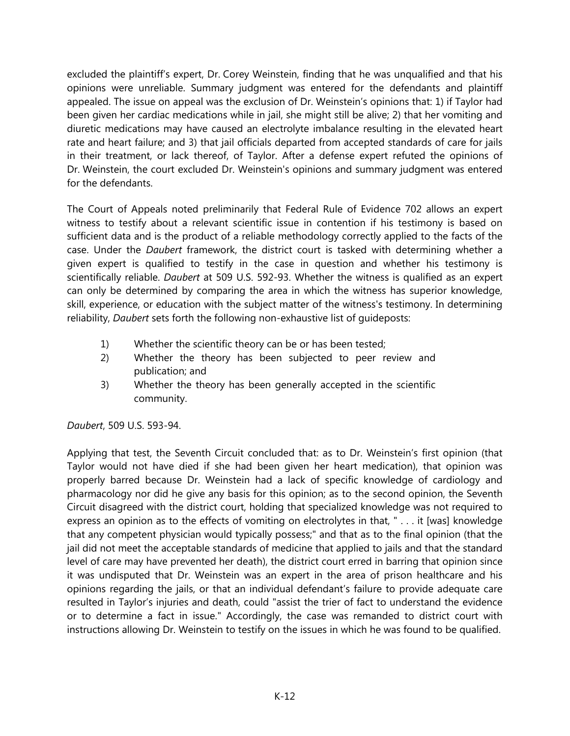excluded the plaintiff's expert, Dr. Corey Weinstein, finding that he was unqualified and that his opinions were unreliable. Summary judgment was entered for the defendants and plaintiff appealed. The issue on appeal was the exclusion of Dr. Weinstein's opinions that: 1) if Taylor had been given her cardiac medications while in jail, she might still be alive; 2) that her vomiting and diuretic medications may have caused an electrolyte imbalance resulting in the elevated heart rate and heart failure; and 3) that jail officials departed from accepted standards of care for jails in their treatment, or lack thereof, of Taylor. After a defense expert refuted the opinions of Dr. Weinstein, the court excluded Dr. Weinstein's opinions and summary judgment was entered for the defendants.

The Court of Appeals noted preliminarily that Federal Rule of Evidence 702 allows an expert witness to testify about a relevant scientific issue in contention if his testimony is based on sufficient data and is the product of a reliable methodology correctly applied to the facts of the case. Under the *Daubert* framework, the district court is tasked with determining whether a given expert is qualified to testify in the case in question and whether his testimony is scientifically reliable. *Daubert* at 509 U.S. 592-93. Whether the witness is qualified as an expert can only be determined by comparing the area in which the witness has superior knowledge, skill, experience, or education with the subject matter of the witness's testimony. In determining reliability, *Daubert* sets forth the following non-exhaustive list of guideposts:

- 1) Whether the scientific theory can be or has been tested;
- 2) Whether the theory has been subjected to peer review and publication; and
- 3) Whether the theory has been generally accepted in the scientific community.

*Daubert*, 509 U.S. 593-94.

Applying that test, the Seventh Circuit concluded that: as to Dr. Weinstein's first opinion (that Taylor would not have died if she had been given her heart medication), that opinion was properly barred because Dr. Weinstein had a lack of specific knowledge of cardiology and pharmacology nor did he give any basis for this opinion; as to the second opinion, the Seventh Circuit disagreed with the district court, holding that specialized knowledge was not required to express an opinion as to the effects of vomiting on electrolytes in that, " . . . it [was] knowledge that any competent physician would typically possess;" and that as to the final opinion (that the jail did not meet the acceptable standards of medicine that applied to jails and that the standard level of care may have prevented her death), the district court erred in barring that opinion since it was undisputed that Dr. Weinstein was an expert in the area of prison healthcare and his opinions regarding the jails, or that an individual defendant's failure to provide adequate care resulted in Taylor's injuries and death, could "assist the trier of fact to understand the evidence or to determine a fact in issue." Accordingly, the case was remanded to district court with instructions allowing Dr. Weinstein to testify on the issues in which he was found to be qualified.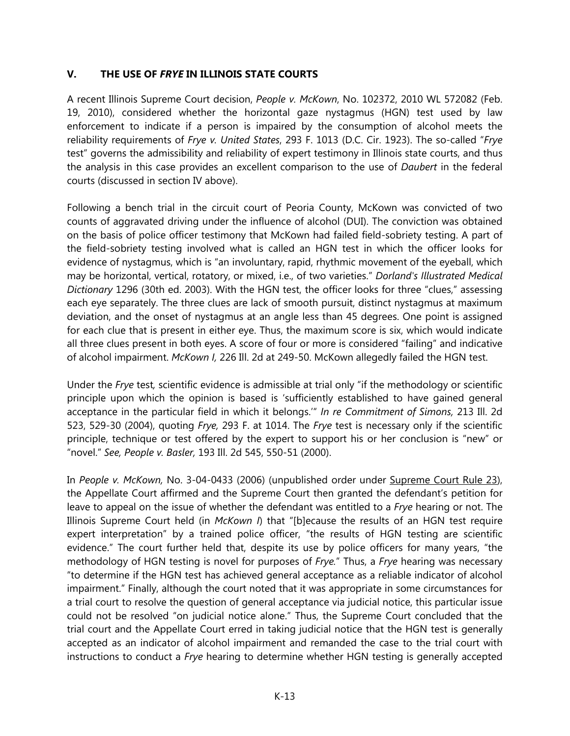#### **V. THE USE OF** *FRYE* **IN ILLINOIS STATE COURTS**

A recent Illinois Supreme Court decision, *People v. McKown*, No. 102372, 2010 WL 572082 (Feb. 19, 2010), considered whether the horizontal gaze nystagmus (HGN) test used by law enforcement to indicate if a person is impaired by the consumption of alcohol meets the reliability requirements of *Frye v. United States*, 293 F. 1013 (D.C. Cir. 1923). The so-called "*Frye*  test" governs the admissibility and reliability of expert testimony in Illinois state courts, and thus the analysis in this case provides an excellent comparison to the use of *Daubert* in the federal courts (discussed in section IV above).

Following a bench trial in the circuit court of Peoria County, McKown was convicted of two counts of aggravated driving under the influence of alcohol (DUI). The conviction was obtained on the basis of police officer testimony that McKown had failed field-sobriety testing. A part of the field-sobriety testing involved what is called an HGN test in which the officer looks for evidence of nystagmus, which is "an involuntary, rapid, rhythmic movement of the eyeball, which may be horizontal, vertical, rotatory, or mixed, i.e., of two varieties." *Dorland's Illustrated Medical Dictionary* 1296 (30th ed. 2003). With the HGN test, the officer looks for three "clues," assessing each eye separately. The three clues are lack of smooth pursuit, distinct nystagmus at maximum deviation, and the onset of nystagmus at an angle less than 45 degrees. One point is assigned for each clue that is present in either eye. Thus, the maximum score is six, which would indicate all three clues present in both eyes. A score of four or more is considered "failing" and indicative of alcohol impairment. *McKown I,* 226 Ill. 2d at 249-50. McKown allegedly failed the HGN test.

Under the *Frye* test*,* scientific evidence is admissible at trial only "if the methodology or scientific principle upon which the opinion is based is 'sufficiently established to have gained general acceptance in the particular field in which it belongs.'" *In re Commitment of Simons,* 213 Ill. 2d 523, 529-30 (2004), quoting *Frye,* 293 F. at 1014. The *Frye* test is necessary only if the scientific principle, technique or test offered by the expert to support his or her conclusion is "new" or "novel." *See, People v. Basler,* 193 Ill. 2d 545, 550-51 (2000).

In *People v. McKown,* No. 3-04-0433 (2006) (unpublished order under Supreme Court Rule 23), the Appellate Court affirmed and the Supreme Court then granted the defendant's petition for leave to appeal on the issue of whether the defendant was entitled to a *Frye* hearing or not. The Illinois Supreme Court held (in *McKown I*) that "[b]ecause the results of an HGN test require expert interpretation" by a trained police officer, "the results of HGN testing are scientific evidence." The court further held that, despite its use by police officers for many years, "the methodology of HGN testing is novel for purposes of *Frye.*" Thus, a *Frye* hearing was necessary "to determine if the HGN test has achieved general acceptance as a reliable indicator of alcohol impairment." Finally, although the court noted that it was appropriate in some circumstances for a trial court to resolve the question of general acceptance via judicial notice, this particular issue could not be resolved "on judicial notice alone." Thus, the Supreme Court concluded that the trial court and the Appellate Court erred in taking judicial notice that the HGN test is generally accepted as an indicator of alcohol impairment and remanded the case to the trial court with instructions to conduct a *Frye* hearing to determine whether HGN testing is generally accepted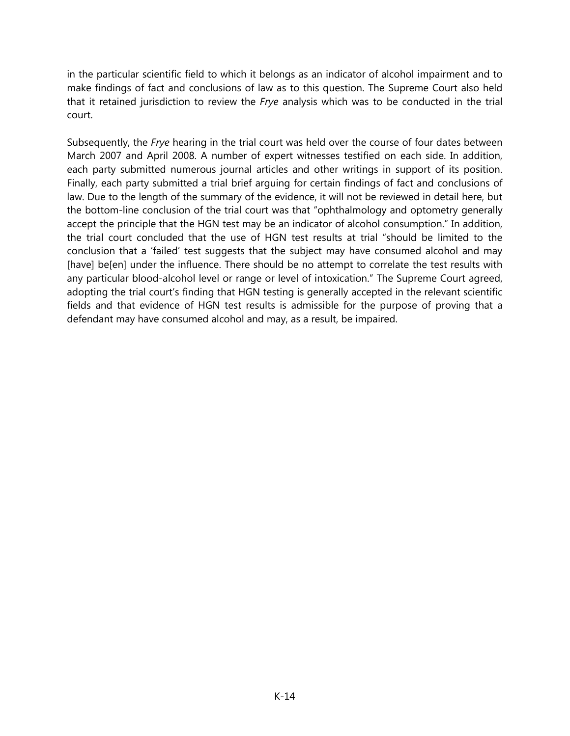in the particular scientific field to which it belongs as an indicator of alcohol impairment and to make findings of fact and conclusions of law as to this question. The Supreme Court also held that it retained jurisdiction to review the *Frye* analysis which was to be conducted in the trial court.

Subsequently, the *Frye* hearing in the trial court was held over the course of four dates between March 2007 and April 2008. A number of expert witnesses testified on each side. In addition, each party submitted numerous journal articles and other writings in support of its position. Finally, each party submitted a trial brief arguing for certain findings of fact and conclusions of law. Due to the length of the summary of the evidence, it will not be reviewed in detail here, but the bottom-line conclusion of the trial court was that "ophthalmology and optometry generally accept the principle that the HGN test may be an indicator of alcohol consumption." In addition, the trial court concluded that the use of HGN test results at trial "should be limited to the conclusion that a 'failed' test suggests that the subject may have consumed alcohol and may [have] be[en] under the influence. There should be no attempt to correlate the test results with any particular blood-alcohol level or range or level of intoxication." The Supreme Court agreed, adopting the trial court's finding that HGN testing is generally accepted in the relevant scientific fields and that evidence of HGN test results is admissible for the purpose of proving that a defendant may have consumed alcohol and may, as a result, be impaired.